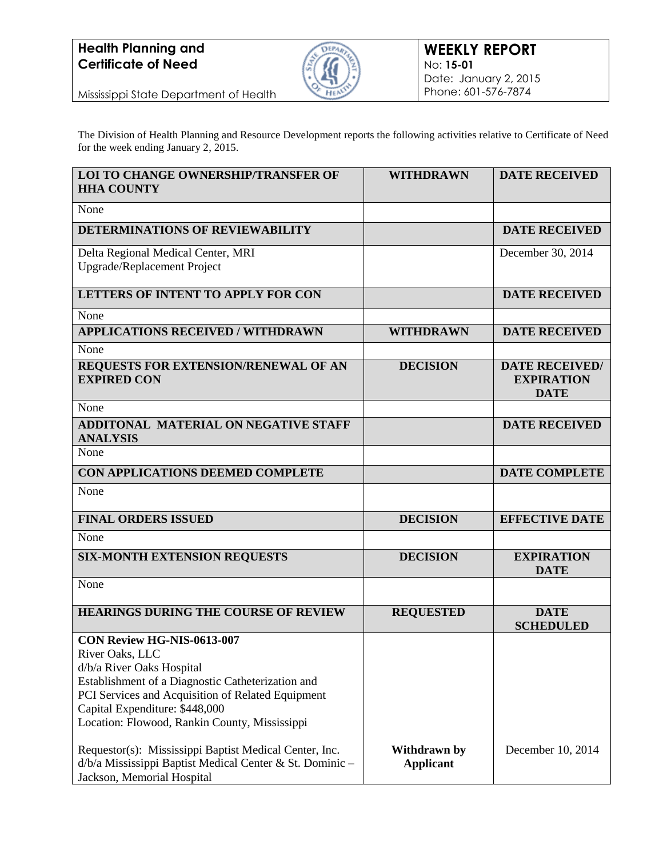

Mississippi State Department of Health

The Division of Health Planning and Resource Development reports the following activities relative to Certificate of Need for the week ending January 2, 2015.

| <b>LOI TO CHANGE OWNERSHIP/TRANSFER OF</b><br><b>HHA COUNTY</b>                                                                                                                                                                                                         | <b>WITHDRAWN</b>                 | <b>DATE RECEIVED</b>                                      |
|-------------------------------------------------------------------------------------------------------------------------------------------------------------------------------------------------------------------------------------------------------------------------|----------------------------------|-----------------------------------------------------------|
| None                                                                                                                                                                                                                                                                    |                                  |                                                           |
| <b>DETERMINATIONS OF REVIEWABILITY</b>                                                                                                                                                                                                                                  |                                  | <b>DATE RECEIVED</b>                                      |
| Delta Regional Medical Center, MRI<br>Upgrade/Replacement Project                                                                                                                                                                                                       |                                  | December 30, 2014                                         |
| <b>LETTERS OF INTENT TO APPLY FOR CON</b>                                                                                                                                                                                                                               |                                  | <b>DATE RECEIVED</b>                                      |
| None                                                                                                                                                                                                                                                                    |                                  |                                                           |
| <b>APPLICATIONS RECEIVED / WITHDRAWN</b>                                                                                                                                                                                                                                | <b>WITHDRAWN</b>                 | <b>DATE RECEIVED</b>                                      |
| None                                                                                                                                                                                                                                                                    |                                  |                                                           |
| REQUESTS FOR EXTENSION/RENEWAL OF AN<br><b>EXPIRED CON</b>                                                                                                                                                                                                              | <b>DECISION</b>                  | <b>DATE RECEIVED/</b><br><b>EXPIRATION</b><br><b>DATE</b> |
| None                                                                                                                                                                                                                                                                    |                                  |                                                           |
| <b>ADDITONAL MATERIAL ON NEGATIVE STAFF</b><br><b>ANALYSIS</b>                                                                                                                                                                                                          |                                  | <b>DATE RECEIVED</b>                                      |
| None                                                                                                                                                                                                                                                                    |                                  |                                                           |
| CON APPLICATIONS DEEMED COMPLETE                                                                                                                                                                                                                                        |                                  | <b>DATE COMPLETE</b>                                      |
| None                                                                                                                                                                                                                                                                    |                                  |                                                           |
| <b>FINAL ORDERS ISSUED</b>                                                                                                                                                                                                                                              | <b>DECISION</b>                  | <b>EFFECTIVE DATE</b>                                     |
| None                                                                                                                                                                                                                                                                    |                                  |                                                           |
| <b>SIX-MONTH EXTENSION REQUESTS</b>                                                                                                                                                                                                                                     | <b>DECISION</b>                  | <b>EXPIRATION</b><br><b>DATE</b>                          |
| None                                                                                                                                                                                                                                                                    |                                  |                                                           |
| <b>HEARINGS DURING THE COURSE OF REVIEW</b>                                                                                                                                                                                                                             | <b>REQUESTED</b>                 | <b>DATE</b><br><b>SCHEDULED</b>                           |
| CON Review HG-NIS-0613-007<br>River Oaks, LLC<br>d/b/a River Oaks Hospital<br>Establishment of a Diagnostic Catheterization and<br>PCI Services and Acquisition of Related Equipment<br>Capital Expenditure: \$448,000<br>Location: Flowood, Rankin County, Mississippi |                                  |                                                           |
| Requestor(s): Mississippi Baptist Medical Center, Inc.<br>d/b/a Mississippi Baptist Medical Center & St. Dominic -<br>Jackson, Memorial Hospital                                                                                                                        | Withdrawn by<br><b>Applicant</b> | December 10, 2014                                         |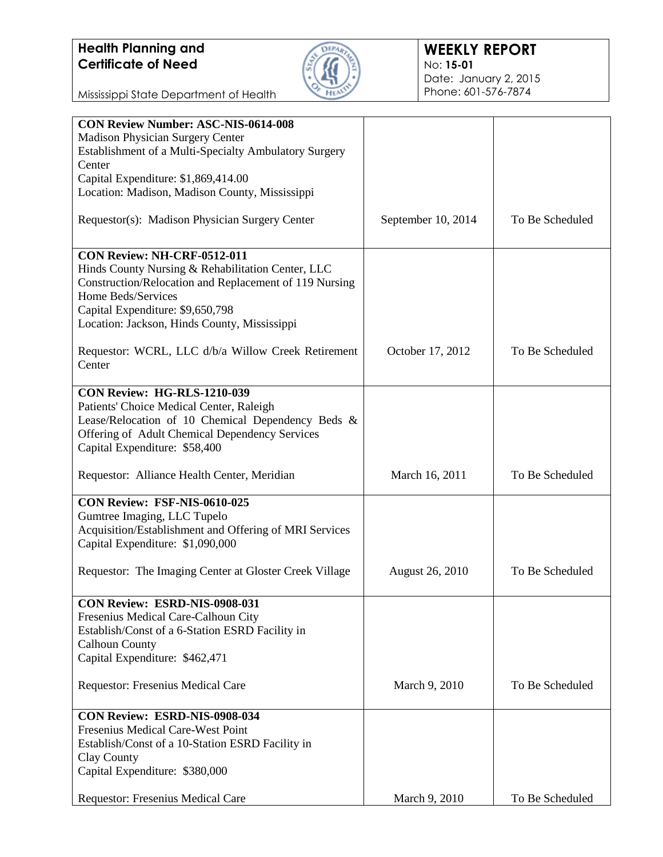

Mississippi State Department of Health

| <b>Madison Physician Surgery Center</b><br>Establishment of a Multi-Specialty Ambulatory Surgery<br>Center<br>Capital Expenditure: \$1,869,414.00<br>Location: Madison, Madison County, Mississippi<br>To Be Scheduled<br>Requestor(s): Madison Physician Surgery Center<br>September 10, 2014<br>CON Review: NH-CRF-0512-011<br>Hinds County Nursing & Rehabilitation Center, LLC<br>Construction/Relocation and Replacement of 119 Nursing<br>Home Beds/Services<br>Capital Expenditure: \$9,650,798<br>Location: Jackson, Hinds County, Mississippi<br>To Be Scheduled<br>Requestor: WCRL, LLC d/b/a Willow Creek Retirement<br>October 17, 2012<br>Center<br><b>CON Review: HG-RLS-1210-039</b><br>Patients' Choice Medical Center, Raleigh<br>Lease/Relocation of 10 Chemical Dependency Beds &<br>Offering of Adult Chemical Dependency Services<br>Capital Expenditure: \$58,400<br>To Be Scheduled<br>Requestor: Alliance Health Center, Meridian<br>March 16, 2011<br>CON Review: FSF-NIS-0610-025<br>Gumtree Imaging, LLC Tupelo<br>Acquisition/Establishment and Offering of MRI Services<br>Capital Expenditure: \$1,090,000<br>Requestor: The Imaging Center at Gloster Creek Village<br>To Be Scheduled<br><b>August 26, 2010</b><br>CON Review: ESRD-NIS-0908-031<br>Fresenius Medical Care-Calhoun City<br>Establish/Const of a 6-Station ESRD Facility in<br><b>Calhoun County</b><br>Capital Expenditure: \$462,471<br>Requestor: Fresenius Medical Care<br>To Be Scheduled<br>March 9, 2010<br><b>CON Review: ESRD-NIS-0908-034</b><br><b>Fresenius Medical Care-West Point</b><br>Establish/Const of a 10-Station ESRD Facility in<br>Clay County<br>Capital Expenditure: \$380,000<br>To Be Scheduled<br>March 9, 2010 |                                            |  |
|---------------------------------------------------------------------------------------------------------------------------------------------------------------------------------------------------------------------------------------------------------------------------------------------------------------------------------------------------------------------------------------------------------------------------------------------------------------------------------------------------------------------------------------------------------------------------------------------------------------------------------------------------------------------------------------------------------------------------------------------------------------------------------------------------------------------------------------------------------------------------------------------------------------------------------------------------------------------------------------------------------------------------------------------------------------------------------------------------------------------------------------------------------------------------------------------------------------------------------------------------------------------------------------------------------------------------------------------------------------------------------------------------------------------------------------------------------------------------------------------------------------------------------------------------------------------------------------------------------------------------------------------------------------------------------------------------------------------------------------------|--------------------------------------------|--|
|                                                                                                                                                                                                                                                                                                                                                                                                                                                                                                                                                                                                                                                                                                                                                                                                                                                                                                                                                                                                                                                                                                                                                                                                                                                                                                                                                                                                                                                                                                                                                                                                                                                                                                                                             | <b>CON Review Number: ASC-NIS-0614-008</b> |  |
|                                                                                                                                                                                                                                                                                                                                                                                                                                                                                                                                                                                                                                                                                                                                                                                                                                                                                                                                                                                                                                                                                                                                                                                                                                                                                                                                                                                                                                                                                                                                                                                                                                                                                                                                             |                                            |  |
|                                                                                                                                                                                                                                                                                                                                                                                                                                                                                                                                                                                                                                                                                                                                                                                                                                                                                                                                                                                                                                                                                                                                                                                                                                                                                                                                                                                                                                                                                                                                                                                                                                                                                                                                             |                                            |  |
|                                                                                                                                                                                                                                                                                                                                                                                                                                                                                                                                                                                                                                                                                                                                                                                                                                                                                                                                                                                                                                                                                                                                                                                                                                                                                                                                                                                                                                                                                                                                                                                                                                                                                                                                             |                                            |  |
|                                                                                                                                                                                                                                                                                                                                                                                                                                                                                                                                                                                                                                                                                                                                                                                                                                                                                                                                                                                                                                                                                                                                                                                                                                                                                                                                                                                                                                                                                                                                                                                                                                                                                                                                             |                                            |  |
|                                                                                                                                                                                                                                                                                                                                                                                                                                                                                                                                                                                                                                                                                                                                                                                                                                                                                                                                                                                                                                                                                                                                                                                                                                                                                                                                                                                                                                                                                                                                                                                                                                                                                                                                             |                                            |  |
|                                                                                                                                                                                                                                                                                                                                                                                                                                                                                                                                                                                                                                                                                                                                                                                                                                                                                                                                                                                                                                                                                                                                                                                                                                                                                                                                                                                                                                                                                                                                                                                                                                                                                                                                             |                                            |  |
|                                                                                                                                                                                                                                                                                                                                                                                                                                                                                                                                                                                                                                                                                                                                                                                                                                                                                                                                                                                                                                                                                                                                                                                                                                                                                                                                                                                                                                                                                                                                                                                                                                                                                                                                             |                                            |  |
|                                                                                                                                                                                                                                                                                                                                                                                                                                                                                                                                                                                                                                                                                                                                                                                                                                                                                                                                                                                                                                                                                                                                                                                                                                                                                                                                                                                                                                                                                                                                                                                                                                                                                                                                             |                                            |  |
|                                                                                                                                                                                                                                                                                                                                                                                                                                                                                                                                                                                                                                                                                                                                                                                                                                                                                                                                                                                                                                                                                                                                                                                                                                                                                                                                                                                                                                                                                                                                                                                                                                                                                                                                             |                                            |  |
|                                                                                                                                                                                                                                                                                                                                                                                                                                                                                                                                                                                                                                                                                                                                                                                                                                                                                                                                                                                                                                                                                                                                                                                                                                                                                                                                                                                                                                                                                                                                                                                                                                                                                                                                             |                                            |  |
|                                                                                                                                                                                                                                                                                                                                                                                                                                                                                                                                                                                                                                                                                                                                                                                                                                                                                                                                                                                                                                                                                                                                                                                                                                                                                                                                                                                                                                                                                                                                                                                                                                                                                                                                             |                                            |  |
|                                                                                                                                                                                                                                                                                                                                                                                                                                                                                                                                                                                                                                                                                                                                                                                                                                                                                                                                                                                                                                                                                                                                                                                                                                                                                                                                                                                                                                                                                                                                                                                                                                                                                                                                             |                                            |  |
|                                                                                                                                                                                                                                                                                                                                                                                                                                                                                                                                                                                                                                                                                                                                                                                                                                                                                                                                                                                                                                                                                                                                                                                                                                                                                                                                                                                                                                                                                                                                                                                                                                                                                                                                             |                                            |  |
|                                                                                                                                                                                                                                                                                                                                                                                                                                                                                                                                                                                                                                                                                                                                                                                                                                                                                                                                                                                                                                                                                                                                                                                                                                                                                                                                                                                                                                                                                                                                                                                                                                                                                                                                             |                                            |  |
|                                                                                                                                                                                                                                                                                                                                                                                                                                                                                                                                                                                                                                                                                                                                                                                                                                                                                                                                                                                                                                                                                                                                                                                                                                                                                                                                                                                                                                                                                                                                                                                                                                                                                                                                             |                                            |  |
|                                                                                                                                                                                                                                                                                                                                                                                                                                                                                                                                                                                                                                                                                                                                                                                                                                                                                                                                                                                                                                                                                                                                                                                                                                                                                                                                                                                                                                                                                                                                                                                                                                                                                                                                             |                                            |  |
|                                                                                                                                                                                                                                                                                                                                                                                                                                                                                                                                                                                                                                                                                                                                                                                                                                                                                                                                                                                                                                                                                                                                                                                                                                                                                                                                                                                                                                                                                                                                                                                                                                                                                                                                             |                                            |  |
|                                                                                                                                                                                                                                                                                                                                                                                                                                                                                                                                                                                                                                                                                                                                                                                                                                                                                                                                                                                                                                                                                                                                                                                                                                                                                                                                                                                                                                                                                                                                                                                                                                                                                                                                             |                                            |  |
|                                                                                                                                                                                                                                                                                                                                                                                                                                                                                                                                                                                                                                                                                                                                                                                                                                                                                                                                                                                                                                                                                                                                                                                                                                                                                                                                                                                                                                                                                                                                                                                                                                                                                                                                             |                                            |  |
|                                                                                                                                                                                                                                                                                                                                                                                                                                                                                                                                                                                                                                                                                                                                                                                                                                                                                                                                                                                                                                                                                                                                                                                                                                                                                                                                                                                                                                                                                                                                                                                                                                                                                                                                             |                                            |  |
|                                                                                                                                                                                                                                                                                                                                                                                                                                                                                                                                                                                                                                                                                                                                                                                                                                                                                                                                                                                                                                                                                                                                                                                                                                                                                                                                                                                                                                                                                                                                                                                                                                                                                                                                             |                                            |  |
|                                                                                                                                                                                                                                                                                                                                                                                                                                                                                                                                                                                                                                                                                                                                                                                                                                                                                                                                                                                                                                                                                                                                                                                                                                                                                                                                                                                                                                                                                                                                                                                                                                                                                                                                             |                                            |  |
|                                                                                                                                                                                                                                                                                                                                                                                                                                                                                                                                                                                                                                                                                                                                                                                                                                                                                                                                                                                                                                                                                                                                                                                                                                                                                                                                                                                                                                                                                                                                                                                                                                                                                                                                             |                                            |  |
|                                                                                                                                                                                                                                                                                                                                                                                                                                                                                                                                                                                                                                                                                                                                                                                                                                                                                                                                                                                                                                                                                                                                                                                                                                                                                                                                                                                                                                                                                                                                                                                                                                                                                                                                             |                                            |  |
|                                                                                                                                                                                                                                                                                                                                                                                                                                                                                                                                                                                                                                                                                                                                                                                                                                                                                                                                                                                                                                                                                                                                                                                                                                                                                                                                                                                                                                                                                                                                                                                                                                                                                                                                             |                                            |  |
|                                                                                                                                                                                                                                                                                                                                                                                                                                                                                                                                                                                                                                                                                                                                                                                                                                                                                                                                                                                                                                                                                                                                                                                                                                                                                                                                                                                                                                                                                                                                                                                                                                                                                                                                             |                                            |  |
|                                                                                                                                                                                                                                                                                                                                                                                                                                                                                                                                                                                                                                                                                                                                                                                                                                                                                                                                                                                                                                                                                                                                                                                                                                                                                                                                                                                                                                                                                                                                                                                                                                                                                                                                             |                                            |  |
|                                                                                                                                                                                                                                                                                                                                                                                                                                                                                                                                                                                                                                                                                                                                                                                                                                                                                                                                                                                                                                                                                                                                                                                                                                                                                                                                                                                                                                                                                                                                                                                                                                                                                                                                             |                                            |  |
|                                                                                                                                                                                                                                                                                                                                                                                                                                                                                                                                                                                                                                                                                                                                                                                                                                                                                                                                                                                                                                                                                                                                                                                                                                                                                                                                                                                                                                                                                                                                                                                                                                                                                                                                             |                                            |  |
|                                                                                                                                                                                                                                                                                                                                                                                                                                                                                                                                                                                                                                                                                                                                                                                                                                                                                                                                                                                                                                                                                                                                                                                                                                                                                                                                                                                                                                                                                                                                                                                                                                                                                                                                             |                                            |  |
|                                                                                                                                                                                                                                                                                                                                                                                                                                                                                                                                                                                                                                                                                                                                                                                                                                                                                                                                                                                                                                                                                                                                                                                                                                                                                                                                                                                                                                                                                                                                                                                                                                                                                                                                             |                                            |  |
|                                                                                                                                                                                                                                                                                                                                                                                                                                                                                                                                                                                                                                                                                                                                                                                                                                                                                                                                                                                                                                                                                                                                                                                                                                                                                                                                                                                                                                                                                                                                                                                                                                                                                                                                             |                                            |  |
|                                                                                                                                                                                                                                                                                                                                                                                                                                                                                                                                                                                                                                                                                                                                                                                                                                                                                                                                                                                                                                                                                                                                                                                                                                                                                                                                                                                                                                                                                                                                                                                                                                                                                                                                             |                                            |  |
|                                                                                                                                                                                                                                                                                                                                                                                                                                                                                                                                                                                                                                                                                                                                                                                                                                                                                                                                                                                                                                                                                                                                                                                                                                                                                                                                                                                                                                                                                                                                                                                                                                                                                                                                             |                                            |  |
|                                                                                                                                                                                                                                                                                                                                                                                                                                                                                                                                                                                                                                                                                                                                                                                                                                                                                                                                                                                                                                                                                                                                                                                                                                                                                                                                                                                                                                                                                                                                                                                                                                                                                                                                             |                                            |  |
|                                                                                                                                                                                                                                                                                                                                                                                                                                                                                                                                                                                                                                                                                                                                                                                                                                                                                                                                                                                                                                                                                                                                                                                                                                                                                                                                                                                                                                                                                                                                                                                                                                                                                                                                             |                                            |  |
|                                                                                                                                                                                                                                                                                                                                                                                                                                                                                                                                                                                                                                                                                                                                                                                                                                                                                                                                                                                                                                                                                                                                                                                                                                                                                                                                                                                                                                                                                                                                                                                                                                                                                                                                             |                                            |  |
|                                                                                                                                                                                                                                                                                                                                                                                                                                                                                                                                                                                                                                                                                                                                                                                                                                                                                                                                                                                                                                                                                                                                                                                                                                                                                                                                                                                                                                                                                                                                                                                                                                                                                                                                             |                                            |  |
|                                                                                                                                                                                                                                                                                                                                                                                                                                                                                                                                                                                                                                                                                                                                                                                                                                                                                                                                                                                                                                                                                                                                                                                                                                                                                                                                                                                                                                                                                                                                                                                                                                                                                                                                             |                                            |  |
|                                                                                                                                                                                                                                                                                                                                                                                                                                                                                                                                                                                                                                                                                                                                                                                                                                                                                                                                                                                                                                                                                                                                                                                                                                                                                                                                                                                                                                                                                                                                                                                                                                                                                                                                             |                                            |  |
|                                                                                                                                                                                                                                                                                                                                                                                                                                                                                                                                                                                                                                                                                                                                                                                                                                                                                                                                                                                                                                                                                                                                                                                                                                                                                                                                                                                                                                                                                                                                                                                                                                                                                                                                             |                                            |  |
|                                                                                                                                                                                                                                                                                                                                                                                                                                                                                                                                                                                                                                                                                                                                                                                                                                                                                                                                                                                                                                                                                                                                                                                                                                                                                                                                                                                                                                                                                                                                                                                                                                                                                                                                             |                                            |  |
|                                                                                                                                                                                                                                                                                                                                                                                                                                                                                                                                                                                                                                                                                                                                                                                                                                                                                                                                                                                                                                                                                                                                                                                                                                                                                                                                                                                                                                                                                                                                                                                                                                                                                                                                             |                                            |  |
|                                                                                                                                                                                                                                                                                                                                                                                                                                                                                                                                                                                                                                                                                                                                                                                                                                                                                                                                                                                                                                                                                                                                                                                                                                                                                                                                                                                                                                                                                                                                                                                                                                                                                                                                             |                                            |  |
|                                                                                                                                                                                                                                                                                                                                                                                                                                                                                                                                                                                                                                                                                                                                                                                                                                                                                                                                                                                                                                                                                                                                                                                                                                                                                                                                                                                                                                                                                                                                                                                                                                                                                                                                             |                                            |  |
|                                                                                                                                                                                                                                                                                                                                                                                                                                                                                                                                                                                                                                                                                                                                                                                                                                                                                                                                                                                                                                                                                                                                                                                                                                                                                                                                                                                                                                                                                                                                                                                                                                                                                                                                             |                                            |  |
|                                                                                                                                                                                                                                                                                                                                                                                                                                                                                                                                                                                                                                                                                                                                                                                                                                                                                                                                                                                                                                                                                                                                                                                                                                                                                                                                                                                                                                                                                                                                                                                                                                                                                                                                             |                                            |  |
|                                                                                                                                                                                                                                                                                                                                                                                                                                                                                                                                                                                                                                                                                                                                                                                                                                                                                                                                                                                                                                                                                                                                                                                                                                                                                                                                                                                                                                                                                                                                                                                                                                                                                                                                             |                                            |  |
|                                                                                                                                                                                                                                                                                                                                                                                                                                                                                                                                                                                                                                                                                                                                                                                                                                                                                                                                                                                                                                                                                                                                                                                                                                                                                                                                                                                                                                                                                                                                                                                                                                                                                                                                             |                                            |  |
|                                                                                                                                                                                                                                                                                                                                                                                                                                                                                                                                                                                                                                                                                                                                                                                                                                                                                                                                                                                                                                                                                                                                                                                                                                                                                                                                                                                                                                                                                                                                                                                                                                                                                                                                             |                                            |  |
|                                                                                                                                                                                                                                                                                                                                                                                                                                                                                                                                                                                                                                                                                                                                                                                                                                                                                                                                                                                                                                                                                                                                                                                                                                                                                                                                                                                                                                                                                                                                                                                                                                                                                                                                             |                                            |  |
|                                                                                                                                                                                                                                                                                                                                                                                                                                                                                                                                                                                                                                                                                                                                                                                                                                                                                                                                                                                                                                                                                                                                                                                                                                                                                                                                                                                                                                                                                                                                                                                                                                                                                                                                             |                                            |  |
|                                                                                                                                                                                                                                                                                                                                                                                                                                                                                                                                                                                                                                                                                                                                                                                                                                                                                                                                                                                                                                                                                                                                                                                                                                                                                                                                                                                                                                                                                                                                                                                                                                                                                                                                             |                                            |  |
|                                                                                                                                                                                                                                                                                                                                                                                                                                                                                                                                                                                                                                                                                                                                                                                                                                                                                                                                                                                                                                                                                                                                                                                                                                                                                                                                                                                                                                                                                                                                                                                                                                                                                                                                             |                                            |  |
|                                                                                                                                                                                                                                                                                                                                                                                                                                                                                                                                                                                                                                                                                                                                                                                                                                                                                                                                                                                                                                                                                                                                                                                                                                                                                                                                                                                                                                                                                                                                                                                                                                                                                                                                             |                                            |  |
|                                                                                                                                                                                                                                                                                                                                                                                                                                                                                                                                                                                                                                                                                                                                                                                                                                                                                                                                                                                                                                                                                                                                                                                                                                                                                                                                                                                                                                                                                                                                                                                                                                                                                                                                             |                                            |  |
|                                                                                                                                                                                                                                                                                                                                                                                                                                                                                                                                                                                                                                                                                                                                                                                                                                                                                                                                                                                                                                                                                                                                                                                                                                                                                                                                                                                                                                                                                                                                                                                                                                                                                                                                             | Requestor: Fresenius Medical Care          |  |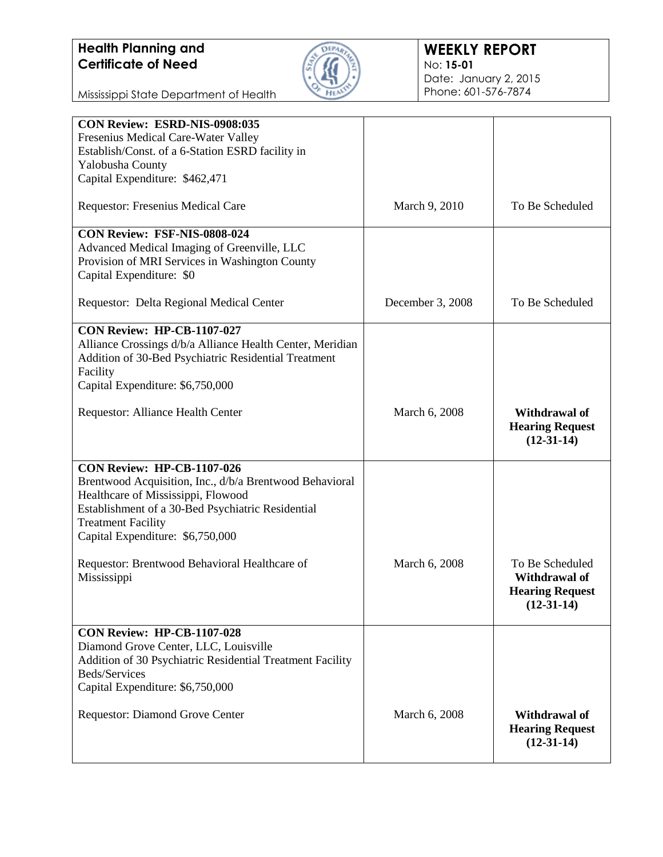

### **WEEKLY REPORT** No: **15-01** Date: January 2, 2015 Phone: 601-576-7874

Mississippi State Department of Health

| CON Review: ESRD-NIS-0908:035<br>Fresenius Medical Care-Water Valley<br>Establish/Const. of a 6-Station ESRD facility in<br>Yalobusha County<br>Capital Expenditure: \$462,471                                                                           |                  |                                                                            |
|----------------------------------------------------------------------------------------------------------------------------------------------------------------------------------------------------------------------------------------------------------|------------------|----------------------------------------------------------------------------|
| <b>Requestor: Fresenius Medical Care</b>                                                                                                                                                                                                                 | March 9, 2010    | To Be Scheduled                                                            |
| CON Review: FSF-NIS-0808-024<br>Advanced Medical Imaging of Greenville, LLC<br>Provision of MRI Services in Washington County<br>Capital Expenditure: \$0                                                                                                |                  |                                                                            |
| Requestor: Delta Regional Medical Center                                                                                                                                                                                                                 | December 3, 2008 | To Be Scheduled                                                            |
| <b>CON Review: HP-CB-1107-027</b><br>Alliance Crossings d/b/a Alliance Health Center, Meridian<br>Addition of 30-Bed Psychiatric Residential Treatment<br>Facility<br>Capital Expenditure: \$6,750,000                                                   |                  |                                                                            |
| Requestor: Alliance Health Center                                                                                                                                                                                                                        | March 6, 2008    | Withdrawal of<br><b>Hearing Request</b><br>$(12-31-14)$                    |
| <b>CON Review: HP-CB-1107-026</b><br>Brentwood Acquisition, Inc., d/b/a Brentwood Behavioral<br>Healthcare of Mississippi, Flowood<br>Establishment of a 30-Bed Psychiatric Residential<br><b>Treatment Facility</b><br>Capital Expenditure: \$6,750,000 |                  |                                                                            |
| Requestor: Brentwood Behavioral Healthcare of<br>Mississippi                                                                                                                                                                                             | March 6, 2008    | To Be Scheduled<br>Withdrawal of<br><b>Hearing Request</b><br>$(12-31-14)$ |
| <b>CON Review: HP-CB-1107-028</b><br>Diamond Grove Center, LLC, Louisville<br>Addition of 30 Psychiatric Residential Treatment Facility<br>Beds/Services<br>Capital Expenditure: \$6,750,000                                                             |                  |                                                                            |
| Requestor: Diamond Grove Center                                                                                                                                                                                                                          | March 6, 2008    | Withdrawal of<br><b>Hearing Request</b><br>$(12-31-14)$                    |